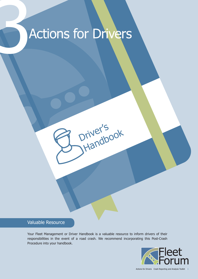# Actions for Drivers

## Valuable Resource

Your Fleet Management or Driver Handbook is a valuable resource to inform drivers of their responsibilities in the event of a road crash. We recommend incorporating this Post-Crash Procedure into your handbook.

Driver's

Handbook



Actions for Drivers | Crash Reporting and Analysis Toolkit | 1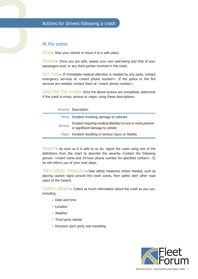## At the scene

Stop► Stop your vehicle or move it to a safe place.

Actions for drivers following a crash<br>3 At the scene<br>3 Stop- Stop your vehicle or move it to a safe pla<br>3 Assess- Once you are safe, assess your own Assess► Once you are safe, assess your own well-being and that of your passengers and/ or any third parties involved in the crash.

> Get help► If immediate medical attention is needed by any party, contact emergency services at <insert phone number>. If the police or the fire services are needed, contact them at <insert phone number>.

> Describe the crash Donce the above actions are completed, determine if the crash is minor, serious or major, using these descriptions:

|                | Severity Description                                                                            |
|----------------|-------------------------------------------------------------------------------------------------|
|                | Minor Incident involving damage to vehicles                                                     |
| <b>Serious</b> | Incident requiring medical attention to one or more persons<br>or significant damage to vehicle |
|                | Major Incident resulting in serious injury or fatality                                          |

Report► As soon as it is safe to so do, report the crash using one of the definitions from the chart to describe the severity. Contact the following person: <insert name and 24-hour phone number for specified contact>, S/ he will inform you of your next steps.

Take safety measures►Take safety measures where needed, such as placing caution signs around the crash scene, then safely alert other road users of the hazard.

Collect details► Collect as much information about the crash as you can, including:

- ► Date and time
- ► Location
- ► Weather
- ► Third-party details
- ► Direction each party was travelling

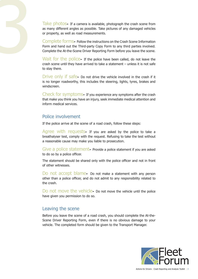Take photos► If a camera is available, photograph the crash scene from<br>as many different angles as possible. Take pictures of any damaged vehicles<br>or property, as well as road measurements.<br>Complete forms► Follow the instr as many different angles as possible. Take pictures of any damaged vehicles or property, as well as road measurements.

Complete forms► Follow the instructions on the Crash Scene Information Form and hand out the Third-party Copy Form to any third parties involved. Complete the At-the-Scene Driver Reporting Form before you leave the scene.

Wait for the police► If the police have been called, do not leave the crash scene until they have arrived to take a statement – unless it is not safe to stay there.

Drive only if safe► Do not drive the vehicle involved in the crash if it is no longer roadworthy, this includes the steering, lights, tyres, brakes and windscreen.

Check for symptoms► If you experience any symptoms after the crash that make you think you have an injury, seek immediate medical attention and inform medical services.

### Police involvement

If the police arrive at the scene of a road crash, follow these steps:

Agree with requests If you are asked by the police to take a breathalyser test, comply with the request. Refusing to take the test without a reasonable cause may make you liable to prosecution.

Give a police statement► Provide a police statement if you are asked to do so by a police officer.

The statement should be shared only with the police officer and not in front of other witnesses.

Do not accept blame► Do not make a statement with any person other than a police officer, and do not admit to any responsibility related to the crash.

Do not move the vehicle► Do not move the vehicle until the police have given you permission to do so.

### Leaving the scene

Before you leave the scene of a road crash, you should complete the At-the-Scene Driver Reporting Form, even if there is no obvious damage to your vehicle. The completed form should be given to the Transport Manager.